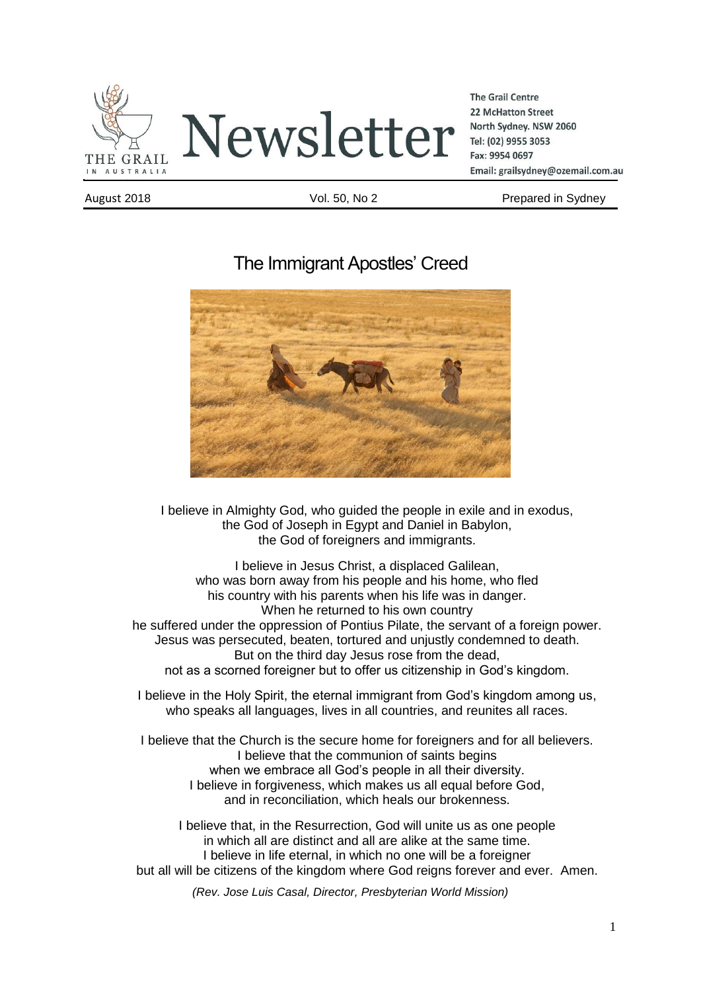

**The Grail Centre 22 McHatton Street** North Sydney, NSW 2060 Tel: (02) 9955 3053 Fax: 9954 0697 Email: grailsydney@ozemail.com.au

August 2018 **Vol. 50, No 2** Prepared in Sydney

# The Immigrant Apostles' Creed



I believe in Almighty God, who guided the people in exile and in exodus, the God of Joseph in Egypt and Daniel in Babylon, the God of foreigners and immigrants.

I believe in Jesus Christ, a displaced Galilean, who was born away from his people and his home, who fled his country with his parents when his life was in danger. When he returned to his own country he suffered under the oppression of Pontius Pilate, the servant of a foreign power. Jesus was persecuted, beaten, tortured and unjustly condemned to death. But on the third day Jesus rose from the dead, not as a scorned foreigner but to offer us citizenship in God's kingdom.

I believe in the Holy Spirit, the eternal immigrant from God's kingdom among us, who speaks all languages, lives in all countries, and reunites all races.

I believe that the Church is the secure home for foreigners and for all believers. I believe that the communion of saints begins when we embrace all God's people in all their diversity. I believe in forgiveness, which makes us all equal before God, and in reconciliation, which heals our brokenness.

I believe that, in the Resurrection, God will unite us as one people in which all are distinct and all are alike at the same time. I believe in life eternal, in which no one will be a foreigner but all will be citizens of the kingdom where God reigns forever and ever. Amen.

*(Rev. Jose Luis Casal, Director, Presbyterian World Mission)*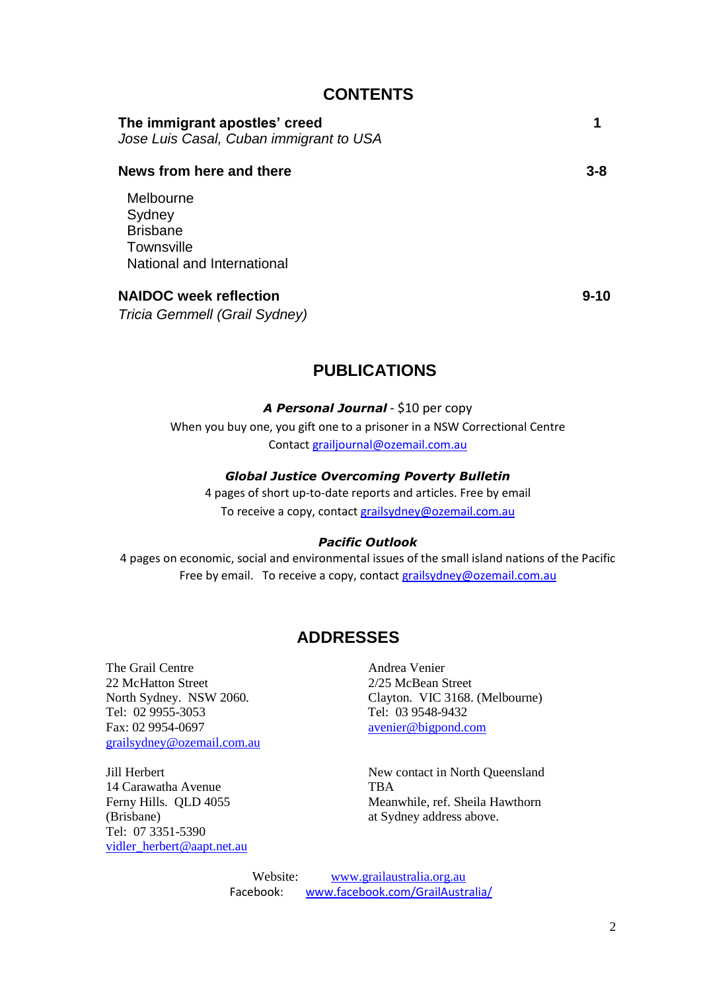### **CONTENTS**

| The immigrant apostles' creed<br>Jose Luis Casal, Cuban immigrant to USA           |         |
|------------------------------------------------------------------------------------|---------|
| News from here and there                                                           | $3 - 8$ |
| Melbourne<br>Sydney<br><b>Brisbane</b><br>Townsville<br>National and International |         |

#### **NAIDOC week reflection 9-10**

### *Tricia Gemmell (Grail Sydney)*

## **PUBLICATIONS**

*A Personal Journal* - \$10 per copy

When you buy one, you gift one to a prisoner in a NSW Correctional Centre Contact [grailjournal@ozemail.com.au](mailto:grailjournal@ozemail.com.au)

#### *Global Justice Overcoming Poverty Bulletin*

4 pages of short up-to-date reports and articles. Free by email To receive a copy, contact [grailsydney@ozemail.com.au](mailto:grailsydney@ozemail.com.au)

#### *Pacific Outlook*

4 pages on economic, social and environmental issues of the small island nations of the Pacific Free by email. To receive a copy, contac[t grailsydney@ozemail.com.au](mailto:grailsydney@ozemail.com.au)

## **ADDRESSES**

The Grail Centre **Andrea** Venier 22 McHatton Street 2/25 McBean Street Tel: 02 9955-3053 Tel: 03 9548-9432 Fax: 02 9954-0697 [avenier@bigpond.com](mailto:avenier@bigpond.com) [grailsydney@ozemail.com.au](mailto:grailsydney@ozemail.com.au)

Jill Herbert New contact in North Queensland 14 Carawatha Avenue TBA (Brisbane) at Sydney address above. Tel: 07 3351-5390 [vidler\\_herbert@aapt.net.au](mailto:vidler_herbert@aapt.net.au)

North Sydney. NSW 2060. Clayton. VIC 3168. (Melbourne)

Ferny Hills. QLD 4055 Meanwhile, ref. Sheila Hawthorn

Website: [www.grailaustralia.org.au](http://www.grailaustralia.org.au/) Facebook: [www.facebook.com/GrailAustralia/](http://www.facebook.com/GrailAustralia/)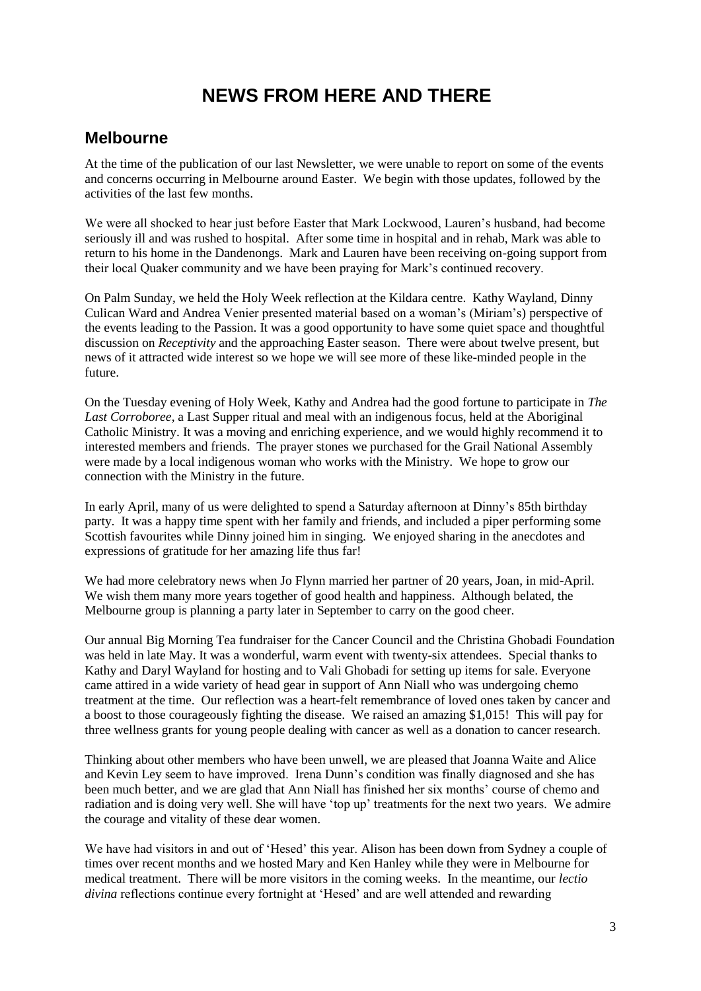# **NEWS FROM HERE AND THERE**

### **Melbourne**

At the time of the publication of our last Newsletter, we were unable to report on some of the events and concerns occurring in Melbourne around Easter. We begin with those updates, followed by the activities of the last few months.

We were all shocked to hear just before Easter that Mark Lockwood, Lauren's husband, had become seriously ill and was rushed to hospital. After some time in hospital and in rehab, Mark was able to return to his home in the Dandenongs. Mark and Lauren have been receiving on-going support from their local Quaker community and we have been praying for Mark's continued recovery.

On Palm Sunday, we held the Holy Week reflection at the Kildara centre. Kathy Wayland, Dinny Culican Ward and Andrea Venier presented material based on a woman's (Miriam's) perspective of the events leading to the Passion. It was a good opportunity to have some quiet space and thoughtful discussion on *Receptivity* and the approaching Easter season. There were about twelve present, but news of it attracted wide interest so we hope we will see more of these like-minded people in the future.

On the Tuesday evening of Holy Week, Kathy and Andrea had the good fortune to participate in *The Last Corroboree*, a Last Supper ritual and meal with an indigenous focus, held at the Aboriginal Catholic Ministry. It was a moving and enriching experience, and we would highly recommend it to interested members and friends. The prayer stones we purchased for the Grail National Assembly were made by a local indigenous woman who works with the Ministry. We hope to grow our connection with the Ministry in the future.

In early April, many of us were delighted to spend a Saturday afternoon at Dinny's 85th birthday party. It was a happy time spent with her family and friends, and included a piper performing some Scottish favourites while Dinny joined him in singing. We enjoyed sharing in the anecdotes and expressions of gratitude for her amazing life thus far!

We had more celebratory news when Jo Flynn married her partner of 20 years, Joan, in mid-April. We wish them many more years together of good health and happiness. Although belated, the Melbourne group is planning a party later in September to carry on the good cheer.

Our annual Big Morning Tea fundraiser for the Cancer Council and the Christina Ghobadi Foundation was held in late May. It was a wonderful, warm event with twenty-six attendees. Special thanks to Kathy and Daryl Wayland for hosting and to Vali Ghobadi for setting up items for sale. Everyone came attired in a wide variety of head gear in support of Ann Niall who was undergoing chemo treatment at the time. Our reflection was a heart-felt remembrance of loved ones taken by cancer and a boost to those courageously fighting the disease. We raised an amazing \$1,015! This will pay for three wellness grants for young people dealing with cancer as well as a donation to cancer research.

Thinking about other members who have been unwell, we are pleased that Joanna Waite and Alice and Kevin Ley seem to have improved. Irena Dunn's condition was finally diagnosed and she has been much better, and we are glad that Ann Niall has finished her six months' course of chemo and radiation and is doing very well. She will have 'top up' treatments for the next two years. We admire the courage and vitality of these dear women.

We have had visitors in and out of 'Hesed' this year. Alison has been down from Sydney a couple of times over recent months and we hosted Mary and Ken Hanley while they were in Melbourne for medical treatment. There will be more visitors in the coming weeks. In the meantime, our *lectio divina* reflections continue every fortnight at 'Hesed' and are well attended and rewarding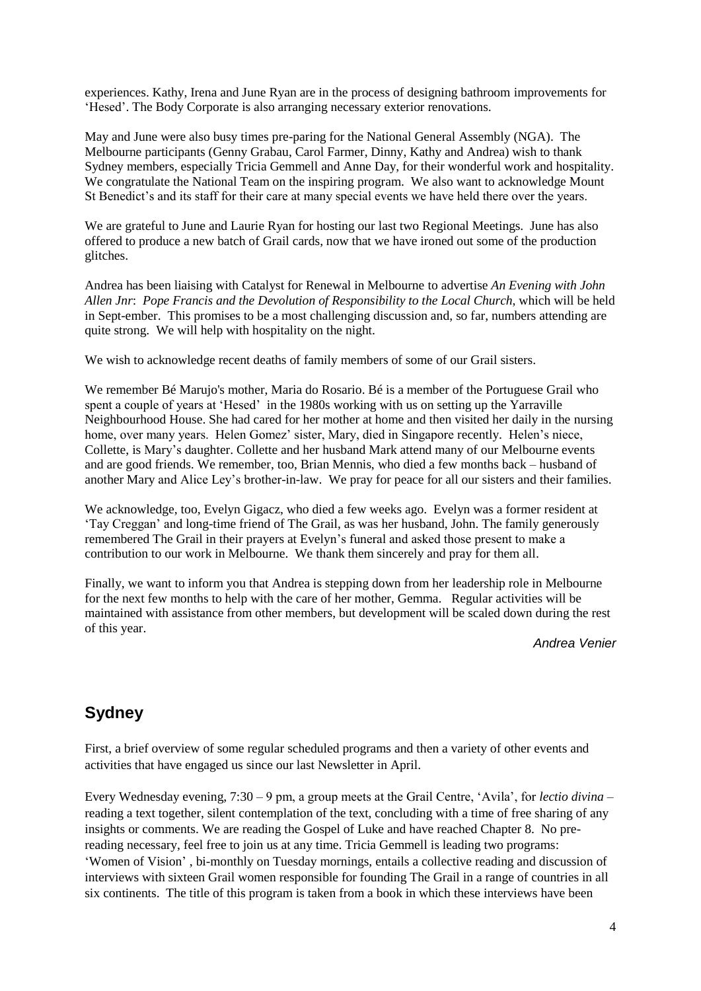experiences. Kathy, Irena and June Ryan are in the process of designing bathroom improvements for 'Hesed'. The Body Corporate is also arranging necessary exterior renovations.

May and June were also busy times pre-paring for the National General Assembly (NGA). The Melbourne participants (Genny Grabau, Carol Farmer, Dinny, Kathy and Andrea) wish to thank Sydney members, especially Tricia Gemmell and Anne Day, for their wonderful work and hospitality. We congratulate the National Team on the inspiring program. We also want to acknowledge Mount St Benedict's and its staff for their care at many special events we have held there over the years.

We are grateful to June and Laurie Ryan for hosting our last two Regional Meetings. June has also offered to produce a new batch of Grail cards, now that we have ironed out some of the production glitches.

Andrea has been liaising with Catalyst for Renewal in Melbourne to advertise *An Evening with John Allen Jnr*: *Pope Francis and the Devolution of Responsibility to the Local Church*, which will be held in Sept-ember. This promises to be a most challenging discussion and, so far, numbers attending are quite strong. We will help with hospitality on the night.

We wish to acknowledge recent deaths of family members of some of our Grail sisters.

We remember Bé Marujo's mother, Maria do Rosario. Bé is a member of the Portuguese Grail who spent a couple of years at 'Hesed' in the 1980s working with us on setting up the Yarraville Neighbourhood House. She had cared for her mother at home and then visited her daily in the nursing home, over many years. Helen Gomez' sister, Mary, died in Singapore recently. Helen's niece, Collette, is Mary's daughter. Collette and her husband Mark attend many of our Melbourne events and are good friends. We remember, too, Brian Mennis, who died a few months back – husband of another Mary and Alice Ley's brother-in-law. We pray for peace for all our sisters and their families.

We acknowledge, too, Evelyn Gigacz, who died a few weeks ago. Evelyn was a former resident at 'Tay Creggan' and long-time friend of The Grail, as was her husband, John. The family generously remembered The Grail in their prayers at Evelyn's funeral and asked those present to make a contribution to our work in Melbourne. We thank them sincerely and pray for them all.

Finally, we want to inform you that Andrea is stepping down from her leadership role in Melbourne for the next few months to help with the care of her mother, Gemma. Regular activities will be maintained with assistance from other members, but development will be scaled down during the rest of this year.

*Andrea Venier*

# **Sydney**

First, a brief overview of some regular scheduled programs and then a variety of other events and activities that have engaged us since our last Newsletter in April.

Every Wednesday evening, 7:30 – 9 pm, a group meets at the Grail Centre, 'Avila', for *lectio divina –* reading a text together, silent contemplation of the text, concluding with a time of free sharing of any insights or comments. We are reading the Gospel of Luke and have reached Chapter 8. No prereading necessary, feel free to join us at any time. Tricia Gemmell is leading two programs: 'Women of Vision' , bi-monthly on Tuesday mornings, entails a collective reading and discussion of interviews with sixteen Grail women responsible for founding The Grail in a range of countries in all six continents. The title of this program is taken from a book in which these interviews have been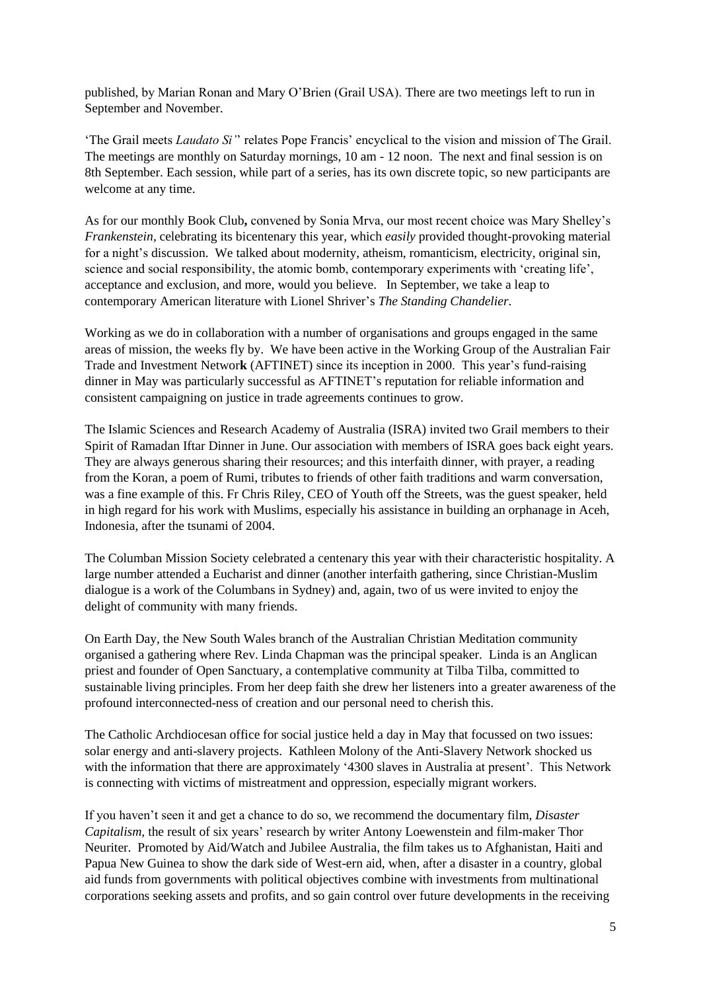published, by Marian Ronan and Mary O'Brien (Grail USA). There are two meetings left to run in September and November.

'The Grail meets *Laudato Si'*' relates Pope Francis' encyclical to the vision and mission of The Grail. The meetings are monthly on Saturday mornings, 10 am - 12 noon. The next and final session is on 8th September. Each session, while part of a series, has its own discrete topic, so new participants are welcome at any time.

As for our monthly Book Club**,** convened by Sonia Mrva, our most recent choice was Mary Shelley's *Frankenstein,* celebrating its bicentenary this year*,* which *easily* provided thought-provoking material for a night's discussion. We talked about modernity, atheism, romanticism, electricity, original sin, science and social responsibility, the atomic bomb, contemporary experiments with 'creating life', acceptance and exclusion, and more, would you believe. In September, we take a leap to contemporary American literature with Lionel Shriver's *The Standing Chandelier*.

Working as we do in collaboration with a number of organisations and groups engaged in the same areas of mission, the weeks fly by. We have been active in the Working Group of the Australian Fair Trade and Investment Networ**k** (AFTINET) since its inception in 2000. This year's fund-raising dinner in May was particularly successful as AFTINET's reputation for reliable information and consistent campaigning on justice in trade agreements continues to grow.

The Islamic Sciences and Research Academy of Australia (ISRA) invited two Grail members to their Spirit of Ramadan Iftar Dinner in June. Our association with members of ISRA goes back eight years. They are always generous sharing their resources; and this interfaith dinner, with prayer, a reading from the Koran, a poem of Rumi, tributes to friends of other faith traditions and warm conversation, was a fine example of this. Fr Chris Riley, CEO of Youth off the Streets, was the guest speaker, held in high regard for his work with Muslims, especially his assistance in building an orphanage in Aceh, Indonesia, after the tsunami of 2004.

The Columban Mission Society celebrated a centenary this year with their characteristic hospitality. A large number attended a Eucharist and dinner (another interfaith gathering, since Christian-Muslim dialogue is a work of the Columbans in Sydney) and, again, two of us were invited to enjoy the delight of community with many friends.

On Earth Day, the New South Wales branch of the Australian Christian Meditation community organised a gathering where Rev. Linda Chapman was the principal speaker. Linda is an Anglican priest and founder of Open Sanctuary, a contemplative community at Tilba Tilba, committed to sustainable living principles. From her deep faith she drew her listeners into a greater awareness of the profound interconnected-ness of creation and our personal need to cherish this.

The Catholic Archdiocesan office for social justice held a day in May that focussed on two issues: solar energy and anti-slavery projects. Kathleen Molony of the Anti-Slavery Network shocked us with the information that there are approximately '4300 slaves in Australia at present'. This Network is connecting with victims of mistreatment and oppression, especially migrant workers.

If you haven't seen it and get a chance to do so, we recommend the documentary film, *Disaster Capitalism,* the result of six years' research by writer Antony Loewenstein and film-maker Thor Neuriter. Promoted by Aid/Watch and Jubilee Australia, the film takes us to Afghanistan, Haiti and Papua New Guinea to show the dark side of West-ern aid, when, after a disaster in a country, global aid funds from governments with political objectives combine with investments from multinational corporations seeking assets and profits, and so gain control over future developments in the receiving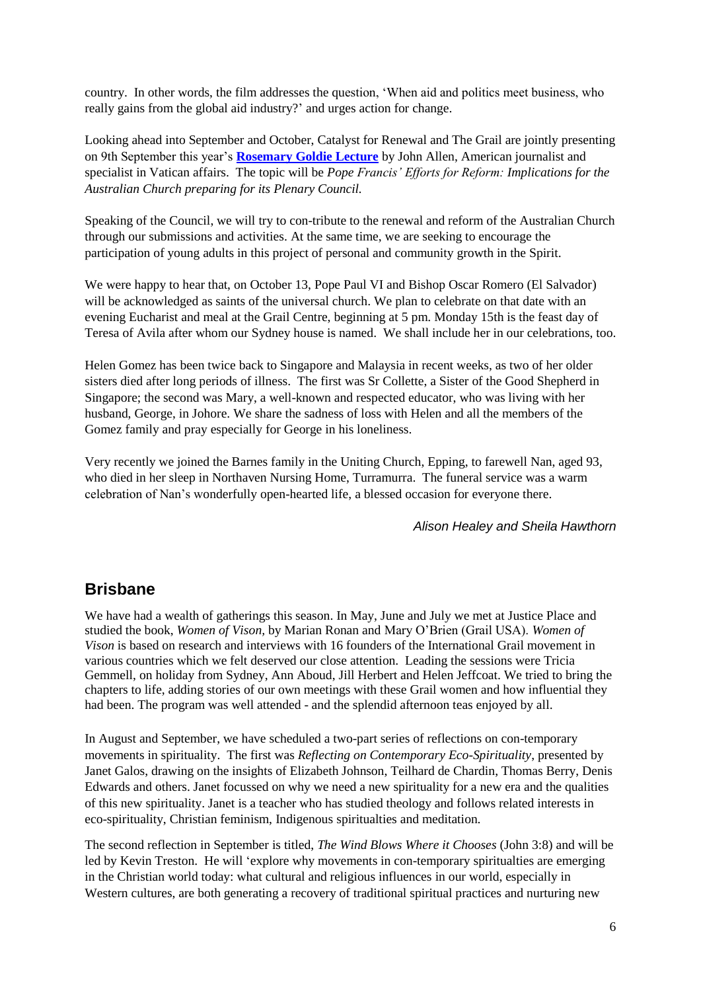country. In other words, the film addresses the question, 'When aid and politics meet business, who really gains from the global aid industry?' and urges action for change.

Looking ahead into September and October, Catalyst for Renewal and The Grail are jointly presenting on 9th September this year's **[Rosemary Goldie Lecture](http://bit.ly/RosemaryGoldieLecture2018)** by John Allen, American journalist and specialist in Vatican affairs. The topic will be *Pope Francis' Efforts for Reform: Implications for the Australian Church preparing for its Plenary Council.* 

Speaking of the Council, we will try to con-tribute to the renewal and reform of the Australian Church through our submissions and activities. At the same time, we are seeking to encourage the participation of young adults in this project of personal and community growth in the Spirit.

We were happy to hear that, on October 13, Pope Paul VI and Bishop Oscar Romero (El Salvador) will be acknowledged as saints of the universal church. We plan to celebrate on that date with an evening Eucharist and meal at the Grail Centre, beginning at 5 pm. Monday 15th is the feast day of Teresa of Avila after whom our Sydney house is named. We shall include her in our celebrations, too.

Helen Gomez has been twice back to Singapore and Malaysia in recent weeks, as two of her older sisters died after long periods of illness. The first was Sr Collette, a Sister of the Good Shepherd in Singapore; the second was Mary, a well-known and respected educator, who was living with her husband, George, in Johore. We share the sadness of loss with Helen and all the members of the Gomez family and pray especially for George in his loneliness.

Very recently we joined the Barnes family in the Uniting Church, Epping, to farewell Nan, aged 93, who died in her sleep in Northaven Nursing Home, Turramurra. The funeral service was a warm celebration of Nan's wonderfully open-hearted life, a blessed occasion for everyone there.

#### *Alison Healey and Sheila Hawthorn*

## **Brisbane**

We have had a wealth of gatherings this season. In May, June and July we met at Justice Place and studied the book, *Women of Vison,* by Marian Ronan and Mary O'Brien (Grail USA). *Women of Vison* is based on research and interviews with 16 founders of the International Grail movement in various countries which we felt deserved our close attention. Leading the sessions were Tricia Gemmell, on holiday from Sydney, Ann Aboud, Jill Herbert and Helen Jeffcoat. We tried to bring the chapters to life, adding stories of our own meetings with these Grail women and how influential they had been. The program was well attended - and the splendid afternoon teas enjoyed by all.

In August and September, we have scheduled a two-part series of reflections on con-temporary movements in spirituality. The first was *Reflecting on Contemporary Eco-Spirituality*, presented by Janet Galos, drawing on the insights of Elizabeth Johnson, Teilhard de Chardin, Thomas Berry, Denis Edwards and others. Janet focussed on why we need a new spirituality for a new era and the qualities of this new spirituality. Janet is a teacher who has studied theology and follows related interests in eco-spirituality, Christian feminism, Indigenous spiritualties and meditation.

The second reflection in September is titled, *The Wind Blows Where it Chooses* (John 3:8) and will be led by Kevin Treston. He will 'explore why movements in con-temporary spiritualties are emerging in the Christian world today: what cultural and religious influences in our world, especially in Western cultures, are both generating a recovery of traditional spiritual practices and nurturing new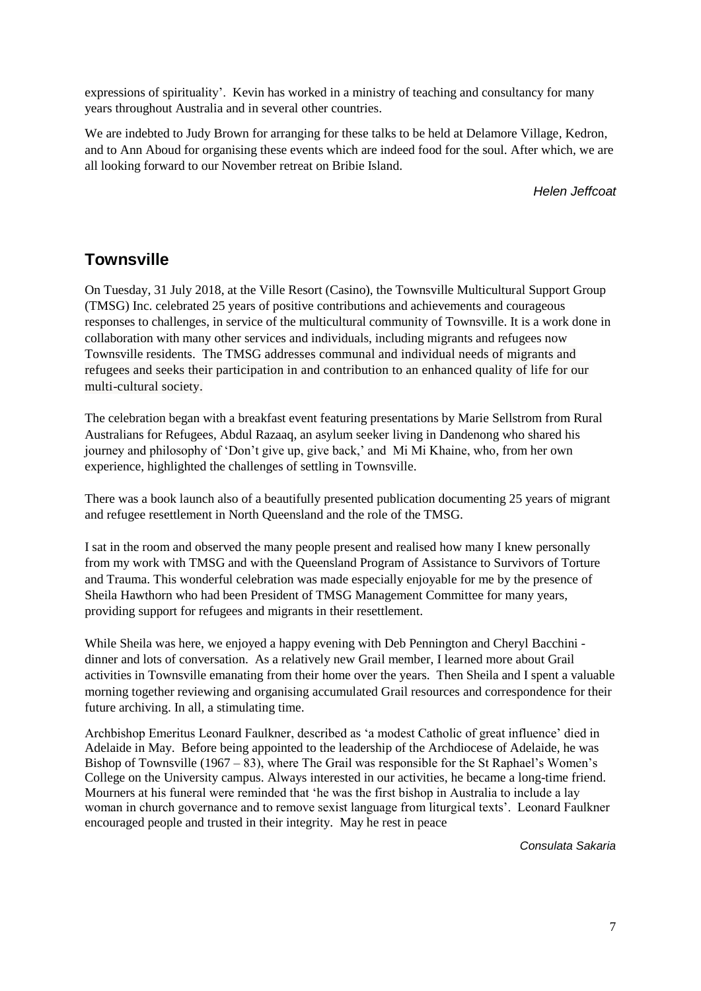expressions of spirituality'. Kevin has worked in a ministry of teaching and consultancy for many years throughout Australia and in several other countries.

We are indebted to Judy Brown for arranging for these talks to be held at Delamore Village, Kedron, and to Ann Aboud for organising these events which are indeed food for the soul. After which, we are all looking forward to our November retreat on Bribie Island.

*Helen Jeffcoat*

## **Townsville**

On Tuesday, 31 July 2018, at the Ville Resort (Casino), the Townsville Multicultural Support Group (TMSG) Inc. celebrated 25 years of positive contributions and achievements and courageous responses to challenges, in service of the multicultural community of Townsville. It is a work done in collaboration with many other services and individuals, including migrants and refugees now Townsville residents. The TMSG addresses communal and individual needs of migrants and refugees and seeks their participation in and contribution to an enhanced quality of life for our multi-cultural society.

The celebration began with a breakfast event featuring presentations by Marie Sellstrom from Rural Australians for Refugees, Abdul Razaaq, an asylum seeker living in Dandenong who shared his journey and philosophy of 'Don't give up, give back,' and Mi Mi Khaine, who, from her own experience, highlighted the challenges of settling in Townsville.

There was a book launch also of a beautifully presented publication documenting 25 years of migrant and refugee resettlement in North Queensland and the role of the TMSG.

I sat in the room and observed the many people present and realised how many I knew personally from my work with TMSG and with the Queensland Program of Assistance to Survivors of Torture and Trauma. This wonderful celebration was made especially enjoyable for me by the presence of Sheila Hawthorn who had been President of TMSG Management Committee for many years, providing support for refugees and migrants in their resettlement.

While Sheila was here, we enjoyed a happy evening with Deb Pennington and Cheryl Bacchini dinner and lots of conversation. As a relatively new Grail member, I learned more about Grail activities in Townsville emanating from their home over the years. Then Sheila and I spent a valuable morning together reviewing and organising accumulated Grail resources and correspondence for their future archiving. In all, a stimulating time.

Archbishop Emeritus Leonard Faulkner, described as 'a modest Catholic of great influence' died in Adelaide in May. Before being appointed to the leadership of the Archdiocese of Adelaide, he was Bishop of Townsville  $(1967 - 83)$ , where The Grail was responsible for the St Raphael's Women's College on the University campus. Always interested in our activities, he became a long-time friend. Mourners at his funeral were reminded that 'he was the first bishop in Australia to include a lay woman in church governance and to remove sexist language from liturgical texts'. Leonard Faulkner encouraged people and trusted in their integrity. May he rest in peace

*Consulata Sakaria*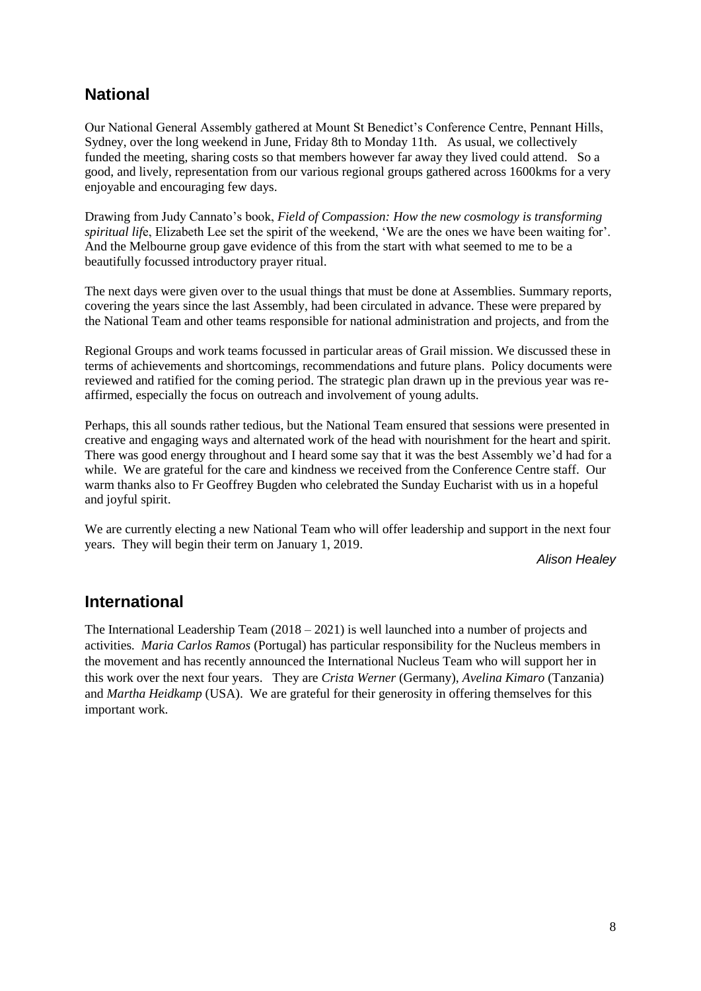# **National**

Our National General Assembly gathered at Mount St Benedict's Conference Centre, Pennant Hills, Sydney, over the long weekend in June, Friday 8th to Monday 11th. As usual, we collectively funded the meeting, sharing costs so that members however far away they lived could attend. So a good, and lively, representation from our various regional groups gathered across 1600kms for a very enjoyable and encouraging few days.

Drawing from Judy Cannato's book, *Field of Compassion: How the new cosmology is transforming spiritual lif*e, Elizabeth Lee set the spirit of the weekend, 'We are the ones we have been waiting for'. And the Melbourne group gave evidence of this from the start with what seemed to me to be a beautifully focussed introductory prayer ritual.

The next days were given over to the usual things that must be done at Assemblies. Summary reports, covering the years since the last Assembly, had been circulated in advance. These were prepared by the National Team and other teams responsible for national administration and projects, and from the

Regional Groups and work teams focussed in particular areas of Grail mission. We discussed these in terms of achievements and shortcomings, recommendations and future plans. Policy documents were reviewed and ratified for the coming period. The strategic plan drawn up in the previous year was reaffirmed, especially the focus on outreach and involvement of young adults.

Perhaps, this all sounds rather tedious, but the National Team ensured that sessions were presented in creative and engaging ways and alternated work of the head with nourishment for the heart and spirit. There was good energy throughout and I heard some say that it was the best Assembly we'd had for a while. We are grateful for the care and kindness we received from the Conference Centre staff. Our warm thanks also to Fr Geoffrey Bugden who celebrated the Sunday Eucharist with us in a hopeful and joyful spirit.

We are currently electing a new National Team who will offer leadership and support in the next four years. They will begin their term on January 1, 2019.

*Alison Healey*

# **International**

The International Leadership Team (2018 – 2021) is well launched into a number of projects and activities*. Maria Carlos Ramos* (Portugal) has particular responsibility for the Nucleus members in the movement and has recently announced the International Nucleus Team who will support her in this work over the next four years. They are *Crista Werner* (Germany), *Avelina Kimaro* (Tanzania) and *Martha Heidkamp* (USA). We are grateful for their generosity in offering themselves for this important work.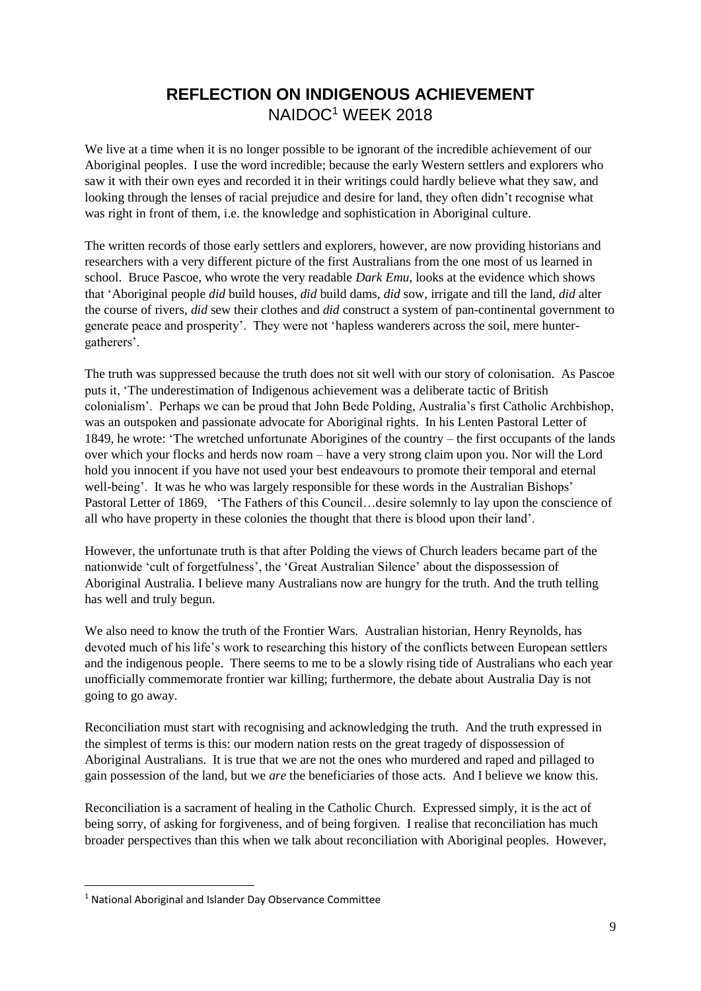# **REFLECTION ON INDIGENOUS ACHIEVEMENT** NAIDOC<sup>1</sup> WEEK 2018

We live at a time when it is no longer possible to be ignorant of the incredible achievement of our Aboriginal peoples. I use the word incredible; because the early Western settlers and explorers who saw it with their own eyes and recorded it in their writings could hardly believe what they saw, and looking through the lenses of racial prejudice and desire for land, they often didn't recognise what was right in front of them, i.e. the knowledge and sophistication in Aboriginal culture.

The written records of those early settlers and explorers, however, are now providing historians and researchers with a very different picture of the first Australians from the one most of us learned in school. Bruce Pascoe, who wrote the very readable *Dark Emu,* looks at the evidence which shows that 'Aboriginal people *did* build houses, *did* build dams, *did* sow, irrigate and till the land, *did* alter the course of rivers, *did* sew their clothes and *did* construct a system of pan-continental government to generate peace and prosperity'. They were not 'hapless wanderers across the soil, mere huntergatherers'.

The truth was suppressed because the truth does not sit well with our story of colonisation. As Pascoe puts it, 'The underestimation of Indigenous achievement was a deliberate tactic of British colonialism'. Perhaps we can be proud that John Bede Polding, Australia's first Catholic Archbishop, was an outspoken and passionate advocate for Aboriginal rights. In his Lenten Pastoral Letter of 1849, he wrote: 'The wretched unfortunate Aborigines of the country – the first occupants of the lands over which your flocks and herds now roam – have a very strong claim upon you. Nor will the Lord hold you innocent if you have not used your best endeavours to promote their temporal and eternal well-being'. It was he who was largely responsible for these words in the Australian Bishops' Pastoral Letter of 1869, 'The Fathers of this Council... desire solemnly to lay upon the conscience of all who have property in these colonies the thought that there is blood upon their land'.

However, the unfortunate truth is that after Polding the views of Church leaders became part of the nationwide 'cult of forgetfulness', the 'Great Australian Silence' about the dispossession of Aboriginal Australia. I believe many Australians now are hungry for the truth. And the truth telling has well and truly begun.

We also need to know the truth of the Frontier Wars. Australian historian, Henry Reynolds, has devoted much of his life's work to researching this history of the conflicts between European settlers and the indigenous people. There seems to me to be a slowly rising tide of Australians who each year unofficially commemorate frontier war killing; furthermore, the debate about Australia Day is not going to go away.

Reconciliation must start with recognising and acknowledging the truth. And the truth expressed in the simplest of terms is this: our modern nation rests on the great tragedy of dispossession of Aboriginal Australians. It is true that we are not the ones who murdered and raped and pillaged to gain possession of the land, but we *are* the beneficiaries of those acts. And I believe we know this.

Reconciliation is a sacrament of healing in the Catholic Church. Expressed simply, it is the act of being sorry, of asking for forgiveness, and of being forgiven. I realise that reconciliation has much broader perspectives than this when we talk about reconciliation with Aboriginal peoples. However,

**.** 

<sup>1</sup> National Aboriginal and Islander Day Observance Committee